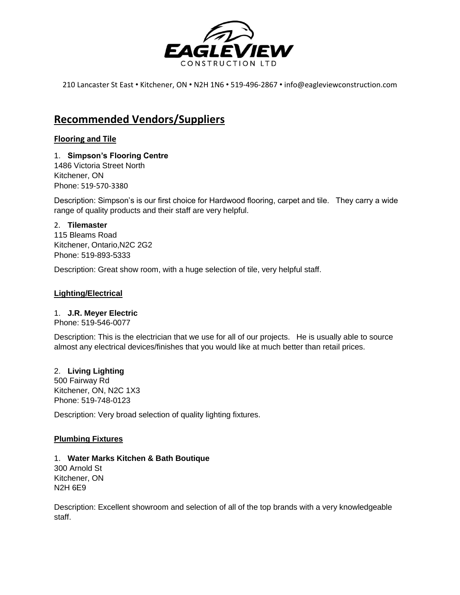

210 Lancaster St East • Kitchener, ON • N2H 1N6 • 519-496-2867 • info@eagleviewconstruction.com

# **Recommended Vendors/Suppliers**

# **Flooring and Tile**

## 1. **Simpson's Flooring Centre** 1486 Victoria Street North Kitchener, ON Phone: 519-570-3380

Description: Simpson's is our first choice for Hardwood flooring, carpet and tile. They carry a wide range of quality products and their staff are very helpful.

# 2. **Tilemaster**

115 Bleams Road Kitchener, Ontario,N2C 2G2 Phone: 519-893-5333

Description: Great show room, with a huge selection of tile, very helpful staff.

# **Lighting/Electrical**

# 1. **J.R. Meyer Electric**

Phone: 519-546-0077

Description: This is the electrician that we use for all of our projects. He is usually able to source almost any electrical devices/finishes that you would like at much better than retail prices.

# 2. **Living Lighting**

500 Fairway Rd Kitchener, ON, N2C 1X3 Phone: 519-748-0123

Description: Very broad selection of quality lighting fixtures.

# **Plumbing Fixtures**

## 1. **Water Marks Kitchen & Bath Boutique**

300 Arnold St Kitchener, ON N2H 6E9

Description: Excellent showroom and selection of all of the top brands with a very knowledgeable staff.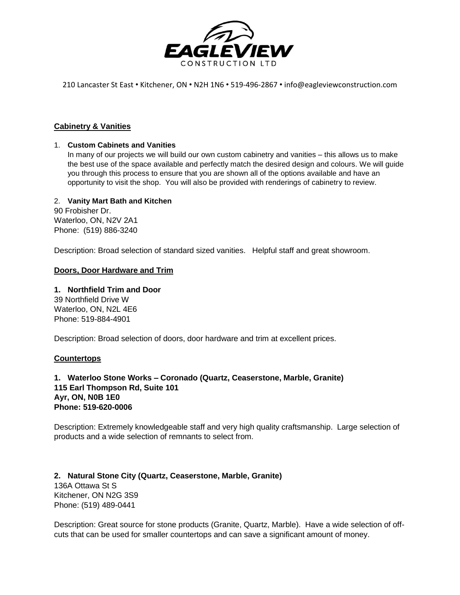

210 Lancaster St East • Kitchener, ON • N2H 1N6 • 519-496-2867 • info@eagleviewconstruction.com

## **Cabinetry & Vanities**

## 1. **Custom Cabinets and Vanities**

In many of our projects we will build our own custom cabinetry and vanities – this allows us to make the best use of the space available and perfectly match the desired design and colours. We will guide you through this process to ensure that you are shown all of the options available and have an opportunity to visit the shop. You will also be provided with renderings of cabinetry to review.

## 2. **Vanity Mart Bath and Kitchen**

90 Frobisher Dr. Waterloo, ON, N2V 2A1 Phone: (519) 886-3240

Description: Broad selection of standard sized vanities. Helpful staff and great showroom.

## **Doors, Door Hardware and Trim**

## **1. Northfield Trim and Door**

39 Northfield Drive W Waterloo, ON, N2L 4E6 Phone: 519-884-4901

Description: Broad selection of doors, door hardware and trim at excellent prices.

#### **Countertops**

## **1. Waterloo Stone Works – Coronado (Quartz, Ceaserstone, Marble, Granite) 115 Earl Thompson Rd, Suite 101 Ayr, ON, N0B 1E0 Phone: 519-620-0006**

Description: Extremely knowledgeable staff and very high quality craftsmanship. Large selection of products and a wide selection of remnants to select from.

**2. Natural Stone City (Quartz, Ceaserstone, Marble, Granite)** 136A Ottawa St S Kitchener, ON N2G 3S9 Phone: (519) 489-0441

Description: Great source for stone products (Granite, Quartz, Marble). Have a wide selection of offcuts that can be used for smaller countertops and can save a significant amount of money.